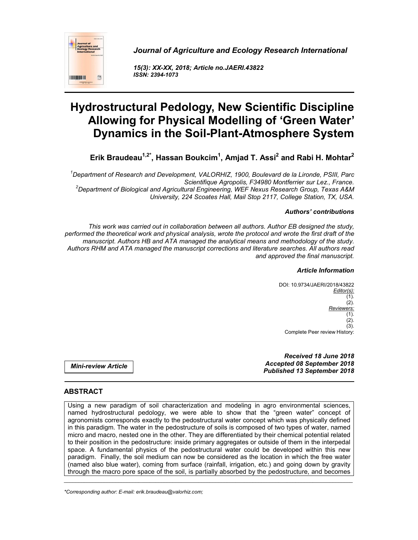

*Journal of Agriculture and Ecology Research International*

*15(3): XX-XX, 2018; Article no.JAERI.43822 ISSN: 2394-1073*

# **Hydrostructural Pedology, New Scientific Discipline Allowing for Physical Modelling of 'Green Water' Dynamics in the Soil-Plant-Atmosphere System**

**Erik Braudeau1,2\*, Hassan Boukcim1 , Amjad T. Assi2 and Rabi H. Mohtar2**

*1 Department of Research and Development, VALORHIZ, 1900, Boulevard de la Lironde, PSIII, Parc Scientifique Agropolis, F34980 Montferrier sur Lez., France. <sup>2</sup> Department of Biological and Agricultural Engineering, WEF Nexus Research Group, Texas A&M University, 224 Scoates Hall, Mail Stop 2117, College Station, TX, USA.*

## *Authors' contributions*

*This work was carried out in collaboration between all authors. Author EB designed the study, performed the theoretical work and physical analysis, wrote the protocol and wrote the first draft of the manuscript. Authors HB and ATA managed the analytical means and methodology of the study. Authors RHM and ATA managed the manuscript corrections and literature searches. All authors read and approved the final manuscript.*

#### *Article Information*

DOI: 10.9734/JAERI/2018/43822 *Editor(s):* (1).  $(2)$ . *Reviewers:* (1). (2).  $(3)$ . Complete Peer review History:

*Received 18 June 2018 Accepted 08 September 2018 Published 13 September 2018*

*Mini-review Article*

# **ABSTRACT**

Using a new paradigm of soil characterization and modeling in agro environmental sciences, named hydrostructural pedology, we were able to show that the "green water" concept of agronomists corresponds exactly to the pedostructural water concept which was physically defined in this paradigm. The water in the pedostructure of soils is composed of two types of water, named micro and macro, nested one in the other. They are differentiated by their chemical potential related to their position in the pedostructure: inside primary aggregates or outside of them in the interpedal space. A fundamental physics of the pedostructural water could be developed within this new paradigm. Finally, the soil medium can now be considered as the location in which the free water (named also blue water), coming from surface (rainfall, irrigation, etc.) and going down by gravity through the macro pore space of the soil, is partially absorbed by the pedostructure, and becomes

\_\_\_\_\_\_\_\_\_\_\_\_\_\_\_\_\_\_\_\_\_\_\_\_\_\_\_\_\_\_\_\_\_\_\_\_\_\_\_\_\_\_\_\_\_\_\_\_\_\_\_\_\_\_\_\_\_\_\_\_\_\_\_\_\_\_\_\_\_\_\_\_\_\_\_\_\_\_\_\_\_\_\_\_\_\_\_\_\_\_\_\_\_\_\_\_\_\_\_\_\_

*\*Corresponding author: E-mail: erik.braudeau@valorhiz.com;*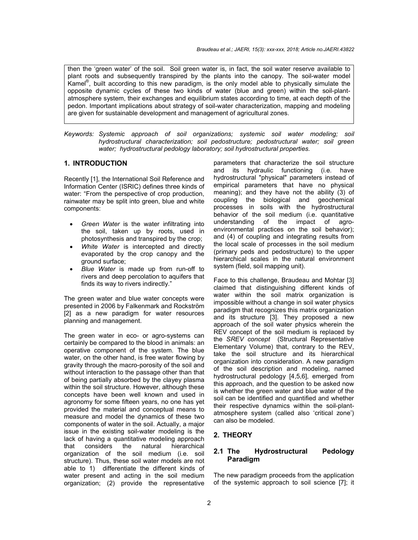then the 'green water' of the soil. Soil green water is, in fact, the soil water reserve available to plant roots and subsequently transpired by the plants into the canopy. The soil-water model Kamel® , built according to this new paradigm, is the only model able to physically simulate the opposite dynamic cycles of these two kinds of water (blue and green) within the soil-plantatmosphere system, their exchanges and equilibrium states according to time, at each depth of the pedon. Important implications about strategy of soil-water characterization, mapping and modeling are given for sustainable development and management of agricultural zones.

*Keywords: Systemic approach of soil organizations; systemic soil water modeling; soil hydrostructural characterization; soil pedostructure; pedostructural water; soil green water; hydrostructural pedology laboratory; soil hydrostructural properties.*

#### **1. INTRODUCTION**

Recently [1], the International Soil Reference and Information Center (ISRIC) defines three kinds of water: "From the perspective of crop production, rainwater may be split into green, blue and white components:

- *Green Water* is the water infiltrating into the soil, taken up by roots, used in photosynthesis and transpired by the crop;
- *White Water* is intercepted and directly evaporated by the crop canopy and the ground surface;
- *Blue Water* is made up from run-off to rivers and deep percolation to aquifers that finds its way to rivers indirectly."

The green water and blue water concepts were presented in 2006 by Falkenmark and Rockström [2] as a new paradigm for water resources planning and management.

The green water in eco- or agro-systems can certainly be compared to the blood in animals: an operative component of the system. The blue water, on the other hand, is free water flowing by gravity through the macro-porosity of the soil and without interaction to the passage other than that of being partially absorbed by the clayey plasma within the soil structure. However, although these concepts have been well known and used in agronomy for some fifteen years, no one has yet provided the material and conceptual means to measure and model the dynamics of these two components of water in the soil. Actually, a major issue in the existing soil-water modeling is the lack of having a quantitative modeling approach that considers the natural hierarchical organization of the soil medium (i.e. soil structure). Thus, these soil water models are not able to 1) differentiate the different kinds of water present and acting in the soil medium organization; (2) provide the representative

parameters that characterize the soil structure and its hydraulic functioning (i.e. have hydrostructural "physical" parameters instead of empirical parameters that have no physical meaning); and they have not the ability (3) of coupling the biological and geochemical processes in soils with the hydrostructural behavior of the soil medium (i.e. quantitative understanding of the impact of agroenvironmental practices on the soil behavior); and (4) of coupling and integrating results from the local scale of processes in the soil medium (primary peds and pedostructure) to the upper hierarchical scales in the natural environment system (field, soil mapping unit).

Face to this challenge, Braudeau and Mohtar [3] claimed that distinguishing different kinds of water within the soil matrix organization is impossible without a change in soil water physics paradigm that recognizes this matrix organization and its structure [3]. They proposed a new approach of the soil water physics wherein the REV concept of the soil medium is replaced by the *SREV concept* (Structural Representative Elementary Volume) that, contrary to the REV, take the soil structure and its hierarchical organization into consideration. A new paradigm of the soil description and modeling, named hydrostructural pedology [4,5,6], emerged from this approach, and the question to be asked now is whether the green water and blue water of the soil can be identified and quantified and whether their respective dynamics within the soil-plantatmosphere system (called also 'critical zone') can also be modeled.

# **2. THEORY**

## **2.1 The Hydrostructural Pedology Paradigm**

The new paradigm proceeds from the application of the systemic approach to soil science [7]; it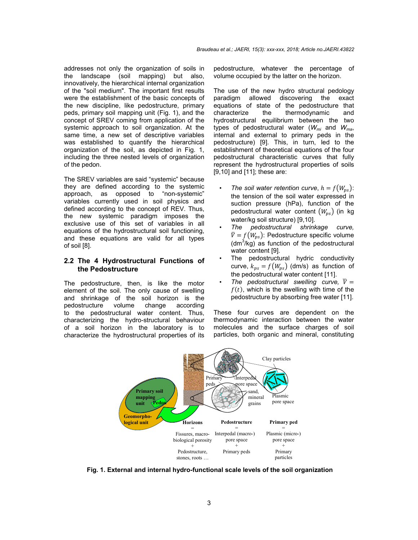addresses not only the organization of soils in the landscape (soil mapping) but also, innovatively, the hierarchical internal organization of the "soil medium". The important first results were the establishment of the basic concepts of the new discipline, like pedostructure, primary peds, primary soil mapping unit (Fig. 1), and the concept of SREV coming from application of the systemic approach to soil organization. At the same time, a new set of descriptive variables was established to quantify the hierarchical organization of the soil, as depicted in Fig. 1, including the three nested levels of organization of the pedon.

The SREV variables are said "systemic" because they are defined according to the systemic approach, as opposed to "non-systemic" variables currently used in soil physics and defined according to the concept of REV. Thus, the new systemic paradigm imposes the exclusive use of this set of variables in all equations of the hydrostructural soil functioning, and these equations are valid for all types of soil [8].

#### **2.2 The 4 Hydrostructural Functions of the Pedostructure**

The pedostructure, then, is like the motor element of the soil. The only cause of swelling and shrinkage of the soil horizon is the pedostructure volume change according to the pedostructural water content. Thus, characterizing the hydro-structural behaviour of a soil horizon in the laboratory is to characterize the hydrostructural properties of its pedostructure, whatever the percentage of volume occupied by the latter on the horizon.

The use of the new hydro structural pedology paradigm allowed discovering the exact equations of state of the pedostructure that characterize the thermodynamic and hydrostructural equilibrium between the two types of pedostructural water (*Wmi* and *Wma*, internal and external to primary peds in the pedostructure) [9]. This, in turn, led to the establishment of theoretical equations of the four pedostructural characteristic curves that fully represent the hydrostructural properties of soils [9,10] and [11]; these are:

- The soil water retention curve,  $h = f(W_{ns})$ : the tension of the soil water expressed in suction pressure (hPa), function of the pedostructural water content  $(W_{ns})$  (in kg water/kg soil structure) [9,10].
- *The pedostructural shrinkage curve,*   $\overline{V} = f(W_{ps})$ : Pedostructure specific volume  $(dm<sup>3</sup>/kg)$  as function of the pedostructural water content [9].
- The pedostructural hydric conductivity curve,  $k_{ps} = f(W_{ps})$  (dm/s) as function of the pedostructural water content [11].
- The pedostructural swelling curve,  $\bar{V} =$  $f(t)$ , which is the swelling with time of the pedostructure by absorbing free water [11].

These four curves are dependent on the thermodynamic interaction between the water molecules and the surface charges of soil particles, both organic and mineral, constituting



**Fig. 1. External and internal hydro-functional scale levels of the soil organization**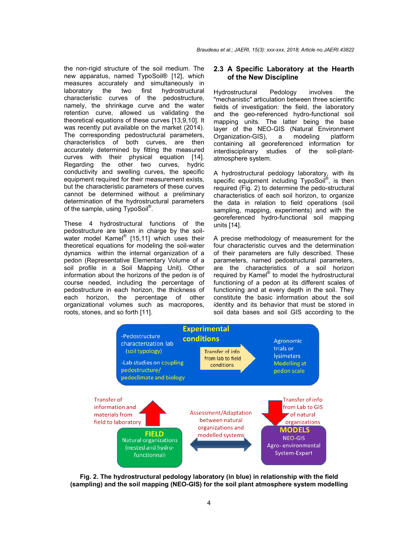the non-rigid structure of the soil medium. The new apparatus, named TypoSoil® [12], which measures accurately and simultaneously in<br>laboratory the two first hydrostructural laboratory the two first hydrostructural characteristic curves of the pedostructure, namely, the shrinkage curve and the water retention curve, allowed us validating the theoretical equations of these curves [13,9,10]. It was recently put available on the market (2014). The corresponding pedostructural parameters, characteristics of both curves, are then accurately determined by fitting the measured curves with their physical equation [14]. Regarding the other two curves, hydric conductivity and swelling curves, the specific equipment required for their measurement exists, but the characteristic parameters of these curves cannot be determined without a preliminary determination of the hydrostructural parameters of the sample, using TypoSoil<sup>®</sup>. the non-rigid structure of the soil medium. The<br>new apparatus, named TypoSoil® [12], which<br>measures accurately and simultaneously in<br>laboratory the two first hydrostructural<br>characteristic curves of the pedostructure,<br>name i-rigid structure of the soil medium. The 2.3 **A Specific Laboratory at the** specific surver of the Solimb (112), which the New Discipline<br>es accurately and simultaneously in of the New Discipline<br>or the two first hydrostr

These 4 hydrostructural functions of the pedostructure are taken in charge by the soilwater model Kamel<sup>®</sup> [15,11] which uses their theoretical equations for modeling the soil-water dynamics within the internal organization of a pedon (Representative Elementary Volume of a soil profile in a Soil Mapping Unit). Other information about the horizons of the pedon is of course needed, including the percentage of pedostructure in each horizon, the thickness of each horizon, the percentage of other organizational volumes such as macropores, roots, stones, and so forth [11].

## **of the New Discipline** 2.3 A Specific Laboratory at the Hearth

Hydrostructural Pedology involves the "mechanistic" articulation between three scientific fields of investigation: the field, the laboratory and the geo-referenced hydro-functional soil mapping units. The latter being the base layer of the NEO-GIS (Natural Environment Organization-GIS), a modeling platform containing all georeferenced information for interdisciplinary studies of the soil atmosphere system. articulation between three scientific<br>stigation: the field, the laboratory<br>o-referenced hydro-functional soil<br>its. The latter being the base<br>NEO-GIS (Natural Environment<br>GIS), a modeling platform<br>Il georeferenced informati

A hydrostructural pedology laboratory, specific equipment including Typo required (Fig. 2) to determine the pedo-structural characteristics of each soil horizon, to organize the data in relation to field operations (soil sampling, mapping, experiments) and with the georeferenced hydro-functional soil mapping units [14]. with its TypoSoil<sup>®</sup>, is then soil horizon, to organize<br>to field operations (soil<br>xperiments) and with the<br>functional soil mapping<br> $\gamma$  of measurement for the<br>res and the determination<br>re fully described. These

A precise methodology of measurement for the four characteristic curves and the determination of their parameters are fully described. parameters, named pedostructural parameters, parameters, named pedostructural parameters,<br>are the characteristics of a soil horizon required by Kamel<sup>®</sup> to model the hydrostructural functioning of a pedon at its different scales of functioning and at every depth in the soil. They constitute the basic information about the soil identity and its behavior that must be stored in soil data bases and soil GIS according to the ing of a pedon at its different scales of<br>ing and at every depth in the soil. They<br>te the basic information about the soil<br>and its behavior that must be stored in



**Fig. 2. The hydrostructural pedology laboratory (in blue) in relationship with the field (sampling) and the soil mapping (NEO hydrostructural pedology (NEO-GIS) for the soil plant atmosphere system modelling GIS) the**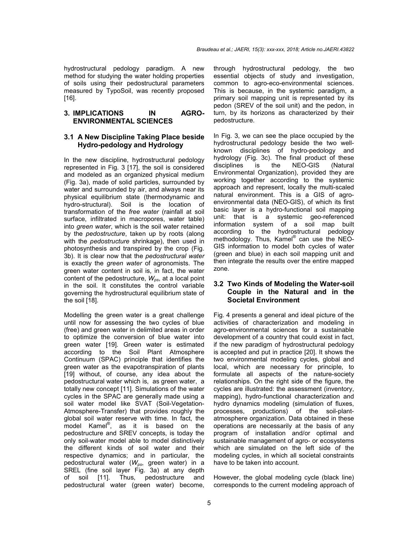hydrostructural pedology paradigm. A new method for studying the water holding properties of soils using their pedostructural parameters measured by TypoSoil, was recently proposed [16].

## **3. IMPLICATIONS IN AGRO-ENVIRONMENTAL SCIENCES**

#### **3.1 A New Discipline Taking Place beside Hydro-pedology and Hydrology**

In the new discipline, hydrostructural pedology represented in Fig. 3 [17], the soil is considered and modeled as an organized physical medium (Fig. 3a), made of solid particles, surrounded by water and surrounded by air, and always near its physical equilibrium state (thermodynamic and hydro-structural). Soil is the location of transformation of the *free water* (rainfall at soil surface, infiltrated in macropores, water table) into *green water*, which is the soil water retained by the *pedostructure*, taken up by roots (along with the *pedostructure* shrinkage), then used in photosynthesis and transpired by the crop (Fig. 3b). It is clear now that the *pedostructural water* is exactly the *green water* of agronomists. The green water content in soil is, in fact, the water content of the pedostructure,  $W_{ps}$ , at a local point in the soil. It constitutes the control variable governing the hydrostructural equilibrium state of the soil [18].

Modelling the green water is a great challenge until now for assessing the two cycles of blue (free) and green water in delimited areas in order to optimize the conversion of blue water into green water [19]. Green water is estimated according to the Soil Plant Atmosphere Continuum (SPAC) principle that identifies the green water as the evapotranspiration of plants [19] without, of course, any idea about the pedostructural water which is, as green water, a totally new concept [11]. Simulations of the water cycles in the SPAC are generally made using a soil water model like SVAT (Soil-Vegetation-Atmosphere-Transfer) that provides roughly the global soil water reserve with time. In fact, the model Kamel® , as it is based on the pedostructure and SREV concepts, is today the only soil-water model able to model distinctively the different kinds of soil water and their respective dynamics; and in particular, the pedostructural water (*Wps*, green water) in a SREL (fine soil layer Fig. 3a) at any depth of soil [11]. Thus, pedostructure and pedostructural water (green water) become, through hydrostructural pedology, the two essential objects of study and investigation, common to agro-eco-environmental sciences. This is because, in the systemic paradigm, a primary soil mapping unit is represented by its pedon (SREV of the soil unit) and the pedon, in turn, by its horizons as characterized by their pedostructure.

In Fig. 3, we can see the place occupied by the hydrostructural pedology beside the two wellknown disciplines of hydro-pedology and hydrology (Fig. 3c). The final product of these disciplines is the NEO-GIS (Natural Environmental Organization), provided they are working together according to the systemic approach and represent, locally the multi-scaled natural environment. This is a GIS of agroenvironmental data (NEO-GIS), of which its first basic layer is a hydro-functional soil mapping unit: that is a systemic geo-referenced information system of a soil map built according to the hydrostructural pedology methodology. Thus, Kamel® can use the NEO-GIS information to model both cycles of water (green and blue) in each soil mapping unit and then integrate the results over the entire mapped zone.

## **3.2 Two Kinds of Modeling the Water-soil Couple in the Natural and in the Societal Environment**

Fig. 4 presents a general and ideal picture of the activities of characterization and modeling in agro-environmental sciences for a sustainable development of a country that could exist in fact, if the new paradigm of hydrostructural pedology is accepted and put in practice [20]. It shows the two environmental modeling cycles, global and local, which are necessary for principle, to formulate all aspects of the nature-society relationships. On the right side of the figure, the cycles are illustrated: the assessment (inventory, mapping), hydro-functional characterization and hydro dynamics modeling (simulation of fluxes, processes, productions) of the soil-plantatmosphere organization. Data obtained in these operations are necessarily at the basis of any program of installation and/or optimal and sustainable management of agro- or ecosystems which are simulated on the left side of the modeling cycles, in which all societal constraints have to be taken into account.

However, the global modeling cycle (black line) corresponds to the current modeling approach of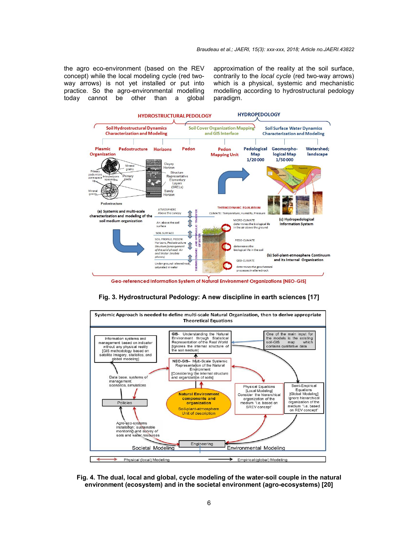the agro eco-environment (based on the REV concept) while the local modeling cycle (red twoway arrows) is not yet installed or put into practice. So the agro-environmental modelling today cannot be other than a global approximation of the reality at the soil surface, contrarily to the *local cycle* (red two-way arrows) which is a physical, systemic and mechanistic modelling according to hydrostructural pedology paradigm.







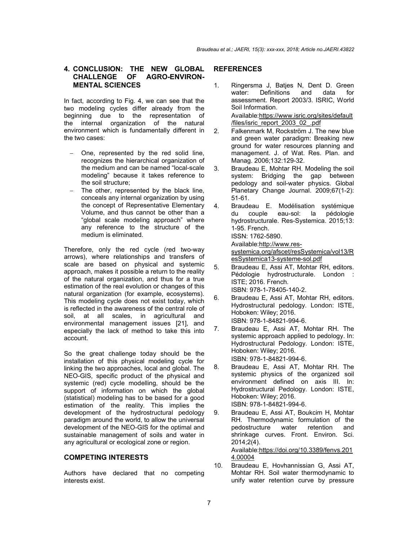#### **4. CONCLUSION: THE NEW GLOBAL CHALLENGE OF AGRO-ENVIRON-MENTAL SCIENCES**

In fact, according to Fig. 4, we can see that the two modeling cycles differ already from the beginning due to the representation of the internal organization of the natural environment which is fundamentally different in the two cases:

- One, represented by the red solid line, recognizes the hierarchical organization of the medium and can be named "local-scale modeling" because it takes reference to the soil structure;
- The other, represented by the black line, conceals any internal organization by using the concept of Representative Elementary Volume, and thus cannot be other than a "global scale modeling approach" where any reference to the structure of the medium is eliminated.

Therefore, only the red cycle (red two-way arrows), where relationships and transfers of scale are based on physical and systemic approach, makes it possible a return to the reality of the natural organization, and thus for a true estimation of the real evolution or changes of this natural organization (for example, ecosystems). This modeling cycle does not exist today, which is reflected in the awareness of the central role of soil, at all scales, in agricultural and environmental management issues [21], and especially the lack of method to take this into account.

So the great challenge today should be the installation of this physical modeling cycle for linking the two approaches, local and global. The NEO-GIS, specific product of the physical and systemic (red) cycle modelling, should be the support of information on which the global (statistical) modeling has to be based for a good estimation of the reality. This implies the development of the hydrostructural pedology paradigm around the world, to allow the universal development of the NEO-GIS for the optimal and sustainable management of soils and water in any agricultural or ecological zone or region.

## **COMPETING INTERESTS**

Authors have declared that no competing interests exist.

# **REFERENCES**

- 1. Ringersma J, Batjes N, Dent D. Green water: Definitions and data for assessment. Report 2003/3. ISRIC, World Soil Information. Available:https://www.isric.org/sites/default /files/isric\_report\_2003\_02\_.pdf
- 2. Falkenmark M, Rockström J. The new blue and green water paradigm: Breaking new ground for water resources planning and management. J. of Wat. Res. Plan. and Manag. 2006;132:129-32.
- 3. Braudeau E, Mohtar RH. Modeling the soil system: Bridging the gap between pedology and soil-water physics. Global Planetary Change Journal. 2009;67(1-2): 51-61.
- 4. Braudeau E. Modélisation systémique du couple eau-sol: la pédologie hydrostructurale. Res-Systemica. 2015;13: 1-95. French. ISSN: 1762-5890.

Available:http://www.res-

systemica.org/afscet/resSystemica/vol13/R esSystemica13-systeme-sol.pdf

- 5. Braudeau E, Assi AT, Mohtar RH, editors. Pédologie hydrostructurale. London : ISTE; 2016. French. ISBN: 978-1-78405-140-2.
- 6. Braudeau E, Assi AT, Mohtar RH, editors. Hydrostructural pedology. London: ISTE, Hoboken: Wiley; 2016. ISBN: 978-1-84821-994-6.
- 7. Braudeau E, Assi AT, Mohtar RH. The systemic approach applied to pedology. In: Hydrostructural Pedology. London: ISTE, Hoboken: Wiley; 2016. ISBN: 978-1-84821-994-6.
- 8. Braudeau E, Assi AT, Mohtar RH. The systemic physics of the organized soil environment defined on axis III. In: Hydrostructural Pedology. London: ISTE, Hoboken: Wiley; 2016. ISBN: 978-1-84821-994-6.
- 9. Braudeau E, Assi AT, Boukcim H, Mohtar RH. Thermodynamic formulation of the pedostructure water retention and pedostructure shrinkage curves. Front. Environ. Sci. 2014;2(4). Available:https://doi.org/10.3389/fenvs.201 4.00004
- 10. Braudeau E, Hovhannissian G, Assi AT, Mohtar RH. Soil water thermodynamic to unify water retention curve by pressure